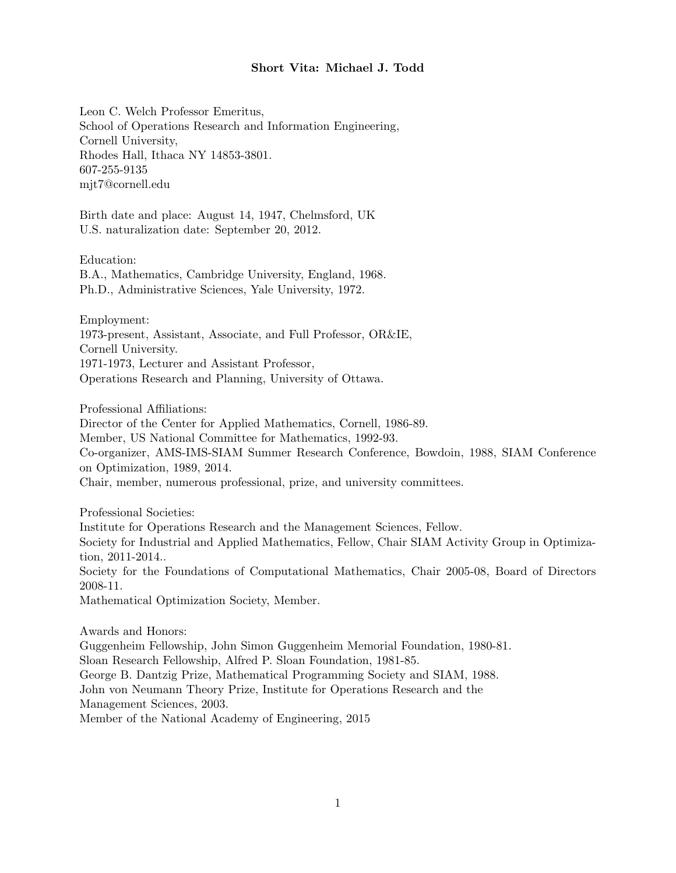## Short Vita: Michael J. Todd

Leon C. Welch Professor Emeritus, School of Operations Research and Information Engineering, Cornell University, Rhodes Hall, Ithaca NY 14853-3801. 607-255-9135 mjt7@cornell.edu

Birth date and place: August 14, 1947, Chelmsford, UK U.S. naturalization date: September 20, 2012.

Education: B.A., Mathematics, Cambridge University, England, 1968. Ph.D., Administrative Sciences, Yale University, 1972.

Employment: 1973-present, Assistant, Associate, and Full Professor, OR&IE, Cornell University. 1971-1973, Lecturer and Assistant Professor, Operations Research and Planning, University of Ottawa.

Professional Affiliations:

Director of the Center for Applied Mathematics, Cornell, 1986-89.

Member, US National Committee for Mathematics, 1992-93.

Co-organizer, AMS-IMS-SIAM Summer Research Conference, Bowdoin, 1988, SIAM Conference on Optimization, 1989, 2014.

Chair, member, numerous professional, prize, and university committees.

Professional Societies:

Institute for Operations Research and the Management Sciences, Fellow.

Society for Industrial and Applied Mathematics, Fellow, Chair SIAM Activity Group in Optimization, 2011-2014..

Society for the Foundations of Computational Mathematics, Chair 2005-08, Board of Directors 2008-11.

Mathematical Optimization Society, Member.

Awards and Honors: Guggenheim Fellowship, John Simon Guggenheim Memorial Foundation, 1980-81. Sloan Research Fellowship, Alfred P. Sloan Foundation, 1981-85. George B. Dantzig Prize, Mathematical Programming Society and SIAM, 1988. John von Neumann Theory Prize, Institute for Operations Research and the Management Sciences, 2003. Member of the National Academy of Engineering, 2015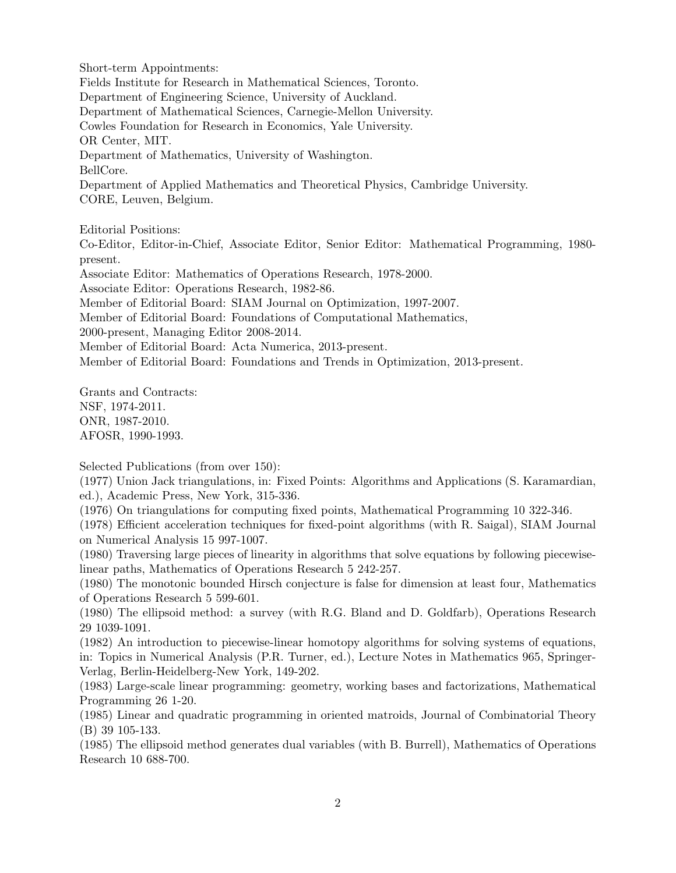Short-term Appointments: Fields Institute for Research in Mathematical Sciences, Toronto. Department of Engineering Science, University of Auckland. Department of Mathematical Sciences, Carnegie-Mellon University. Cowles Foundation for Research in Economics, Yale University. OR Center, MIT. Department of Mathematics, University of Washington. BellCore. Department of Applied Mathematics and Theoretical Physics, Cambridge University. CORE, Leuven, Belgium.

Editorial Positions:

Co-Editor, Editor-in-Chief, Associate Editor, Senior Editor: Mathematical Programming, 1980 present.

Associate Editor: Mathematics of Operations Research, 1978-2000.

Associate Editor: Operations Research, 1982-86.

Member of Editorial Board: SIAM Journal on Optimization, 1997-2007.

Member of Editorial Board: Foundations of Computational Mathematics,

2000-present, Managing Editor 2008-2014.

Member of Editorial Board: Acta Numerica, 2013-present.

Member of Editorial Board: Foundations and Trends in Optimization, 2013-present.

Grants and Contracts: NSF, 1974-2011. ONR, 1987-2010. AFOSR, 1990-1993.

Selected Publications (from over 150):

(1977) Union Jack triangulations, in: Fixed Points: Algorithms and Applications (S. Karamardian, ed.), Academic Press, New York, 315-336.

(1976) On triangulations for computing fixed points, Mathematical Programming 10 322-346.

(1978) Efficient acceleration techniques for fixed-point algorithms (with R. Saigal), SIAM Journal on Numerical Analysis 15 997-1007.

(1980) Traversing large pieces of linearity in algorithms that solve equations by following piecewiselinear paths, Mathematics of Operations Research 5 242-257.

(1980) The monotonic bounded Hirsch conjecture is false for dimension at least four, Mathematics of Operations Research 5 599-601.

(1980) The ellipsoid method: a survey (with R.G. Bland and D. Goldfarb), Operations Research 29 1039-1091.

(1982) An introduction to piecewise-linear homotopy algorithms for solving systems of equations, in: Topics in Numerical Analysis (P.R. Turner, ed.), Lecture Notes in Mathematics 965, Springer-Verlag, Berlin-Heidelberg-New York, 149-202.

(1983) Large-scale linear programming: geometry, working bases and factorizations, Mathematical Programming 26 1-20.

(1985) Linear and quadratic programming in oriented matroids, Journal of Combinatorial Theory (B) 39 105-133.

(1985) The ellipsoid method generates dual variables (with B. Burrell), Mathematics of Operations Research 10 688-700.